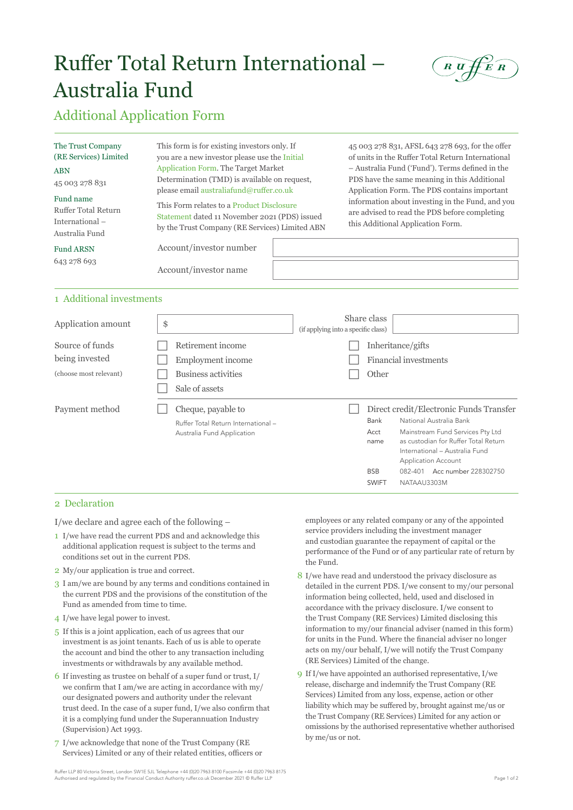# Ruffer Total Return International – Australia Fund



## Additional Application Form

| The Trust Company<br>(RE Services) Limited<br><b>ABN</b><br>45 003 278 831<br>Fund name<br>Ruffer Total Return<br>International-<br>Australia Fund | This form is for existing investors only. If<br>you are a new investor please use the Initial<br>Application Form. The Target Market<br>Determination (TMD) is available on request,<br>please email australiafund@ruffer.co.uk<br>This Form relates to a Product Disclosure<br>Statement dated 11 November 2021 (PDS) issued<br>by the Trust Company (RE Services) Limited ABN |  | 45 003 278 831, AFSL 643 278 693, for the offer<br>of units in the Ruffer Total Return International<br>- Australia Fund ('Fund'). Terms defined in the<br>PDS have the same meaning in this Additional<br>Application Form. The PDS contains important<br>information about investing in the Fund, and you<br>are advised to read the PDS before completing<br>this Additional Application Form. |  |  |  |
|----------------------------------------------------------------------------------------------------------------------------------------------------|---------------------------------------------------------------------------------------------------------------------------------------------------------------------------------------------------------------------------------------------------------------------------------------------------------------------------------------------------------------------------------|--|---------------------------------------------------------------------------------------------------------------------------------------------------------------------------------------------------------------------------------------------------------------------------------------------------------------------------------------------------------------------------------------------------|--|--|--|
| <b>Fund ARSN</b>                                                                                                                                   | Account/investor number                                                                                                                                                                                                                                                                                                                                                         |  |                                                                                                                                                                                                                                                                                                                                                                                                   |  |  |  |
| 643 278 693                                                                                                                                        | Account/investor name                                                                                                                                                                                                                                                                                                                                                           |  |                                                                                                                                                                                                                                                                                                                                                                                                   |  |  |  |
| 1 Additional investments                                                                                                                           |                                                                                                                                                                                                                                                                                                                                                                                 |  |                                                                                                                                                                                                                                                                                                                                                                                                   |  |  |  |
| Application amount                                                                                                                                 | ድ                                                                                                                                                                                                                                                                                                                                                                               |  | Share class                                                                                                                                                                                                                                                                                                                                                                                       |  |  |  |

| Application amount                                          | \$                                                                                      | (if applying into a specific class) | wiiui v viuw                                       |                                            |                                                                                                                                                                                                                                        |  |
|-------------------------------------------------------------|-----------------------------------------------------------------------------------------|-------------------------------------|----------------------------------------------------|--------------------------------------------|----------------------------------------------------------------------------------------------------------------------------------------------------------------------------------------------------------------------------------------|--|
| Source of funds<br>being invested<br>(choose most relevant) | Retirement income<br>Employment income<br><b>Business activities</b><br>Sale of assets  |                                     | Other                                              | Inheritance/gifts<br>Financial investments |                                                                                                                                                                                                                                        |  |
| Payment method                                              | Cheque, payable to<br>Ruffer Total Return International -<br>Australia Fund Application |                                     | Bank<br>Acct<br>name<br><b>BSB</b><br><b>SWIFT</b> | 082-401<br>NATAAU3303M                     | Direct credit/Electronic Funds Transfer<br>National Australia Bank<br>Mainstream Fund Services Pty Ltd<br>as custodian for Ruffer Total Return<br>International - Australia Fund<br><b>Application Account</b><br>Acc number 228302750 |  |

#### 2 Declaration

I/we declare and agree each of the following –

- 1 I/we have read the current PDS and and acknowledge this additional application request is subject to the terms and conditions set out in the current PDS.
- 2 My/our application is true and correct.
- 3 I am/we are bound by any terms and conditions contained in the current PDS and the provisions of the constitution of the Fund as amended from time to time.
- 4 I/we have legal power to invest.
- 5 If this is a joint application, each of us agrees that our investment is as joint tenants. Each of us is able to operate the account and bind the other to any transaction including investments or withdrawals by any available method.
- 6 If investing as trustee on behalf of a super fund or trust, I/ we confirm that I am/we are acting in accordance with my/ our designated powers and authority under the relevant trust deed. In the case of a super fund, I/we also confirm that it is a complying fund under the Superannuation Industry (Supervision) Act 1993.
- 7 I/we acknowledge that none of the Trust Company (RE Services) Limited or any of their related entities, officers or

employees or any related company or any of the appointed service providers including the investment manager and custodian guarantee the repayment of capital or the performance of the Fund or of any particular rate of return by the Fund.

- 8 I/we have read and understood the privacy disclosure as detailed in the current PDS. I/we consent to my/our personal information being collected, held, used and disclosed in accordance with the privacy disclosure. I/we consent to the Trust Company (RE Services) Limited disclosing this information to my/our financial adviser (named in this form) for units in the Fund. Where the financial adviser no longer acts on my/our behalf, I/we will notify the Trust Company (RE Services) Limited of the change.
- 9 If I/we have appointed an authorised representative, I/we release, discharge and indemnify the Trust Company (RE Services) Limited from any loss, expense, action or other liability which may be suffered by, brought against me/us or the Trust Company (RE Services) Limited for any action or omissions by the authorised representative whether authorised by me/us or not.